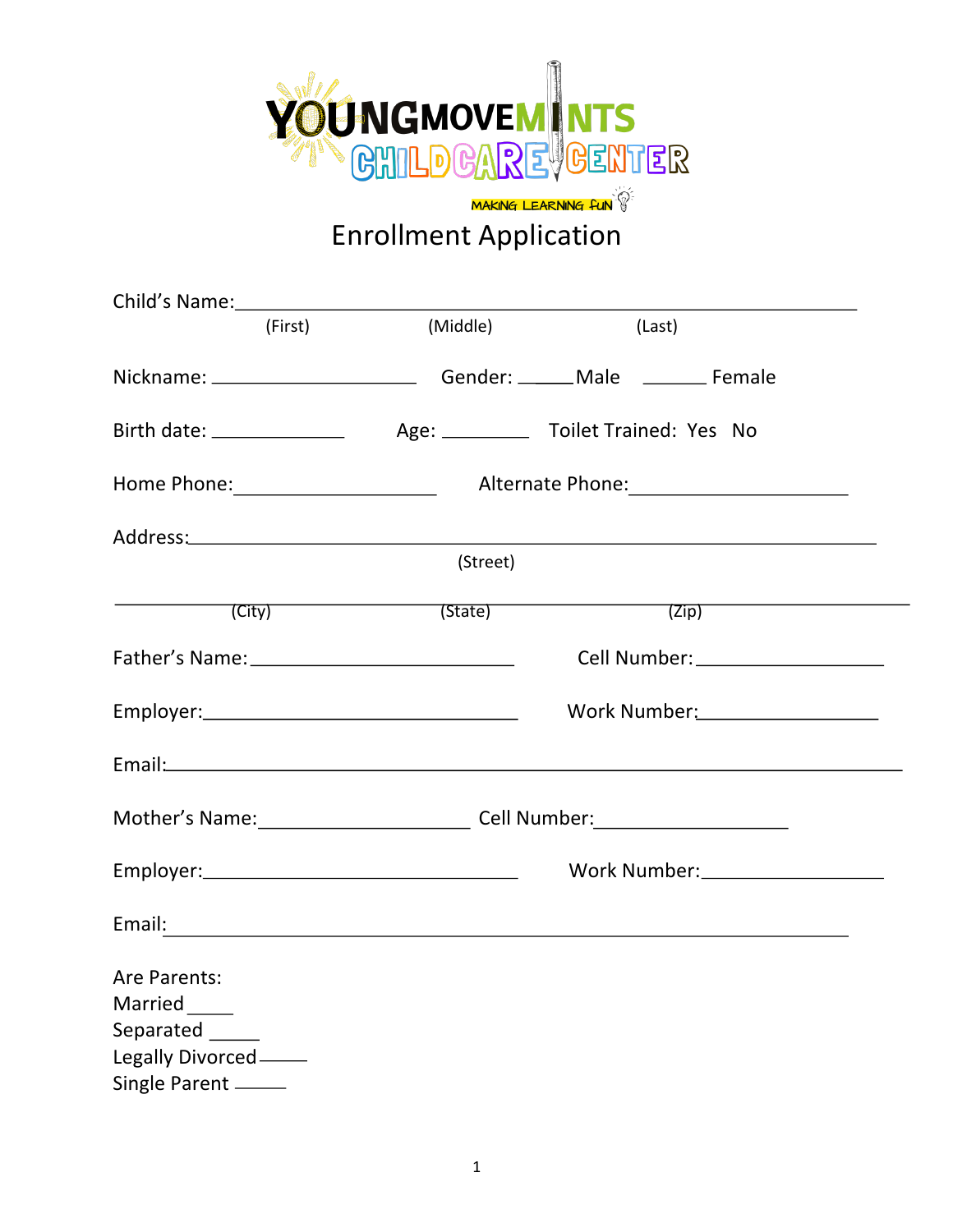

| Child's Name: 1988                               |                                                                                      |                                                                                |  |
|--------------------------------------------------|--------------------------------------------------------------------------------------|--------------------------------------------------------------------------------|--|
| (First)                                          | (Middle)                                                                             | (Last)                                                                         |  |
|                                                  |                                                                                      | Nickname: _______________________________Gender: _______Male ___________Female |  |
|                                                  |                                                                                      |                                                                                |  |
|                                                  |                                                                                      |                                                                                |  |
|                                                  |                                                                                      |                                                                                |  |
|                                                  | (Street)                                                                             |                                                                                |  |
|                                                  | (City) (State)                                                                       | (Zip)                                                                          |  |
| Father's Name: _________________________________ |                                                                                      | Cell Number: ____________________                                              |  |
|                                                  | Work Number: National Assembly Mork Number                                           |                                                                                |  |
|                                                  |                                                                                      |                                                                                |  |
|                                                  | Mother's Name: Manual Cell Number: Mother's Name: Mother's Name: Manual Cell Number: |                                                                                |  |
|                                                  | Work Number:____________________                                                     |                                                                                |  |
|                                                  |                                                                                      |                                                                                |  |
| Are Parents:                                     |                                                                                      |                                                                                |  |
| Married                                          |                                                                                      |                                                                                |  |
| Separated _____                                  |                                                                                      |                                                                                |  |
| Legally Divorced _____                           |                                                                                      |                                                                                |  |
| Single Parent _____                              |                                                                                      |                                                                                |  |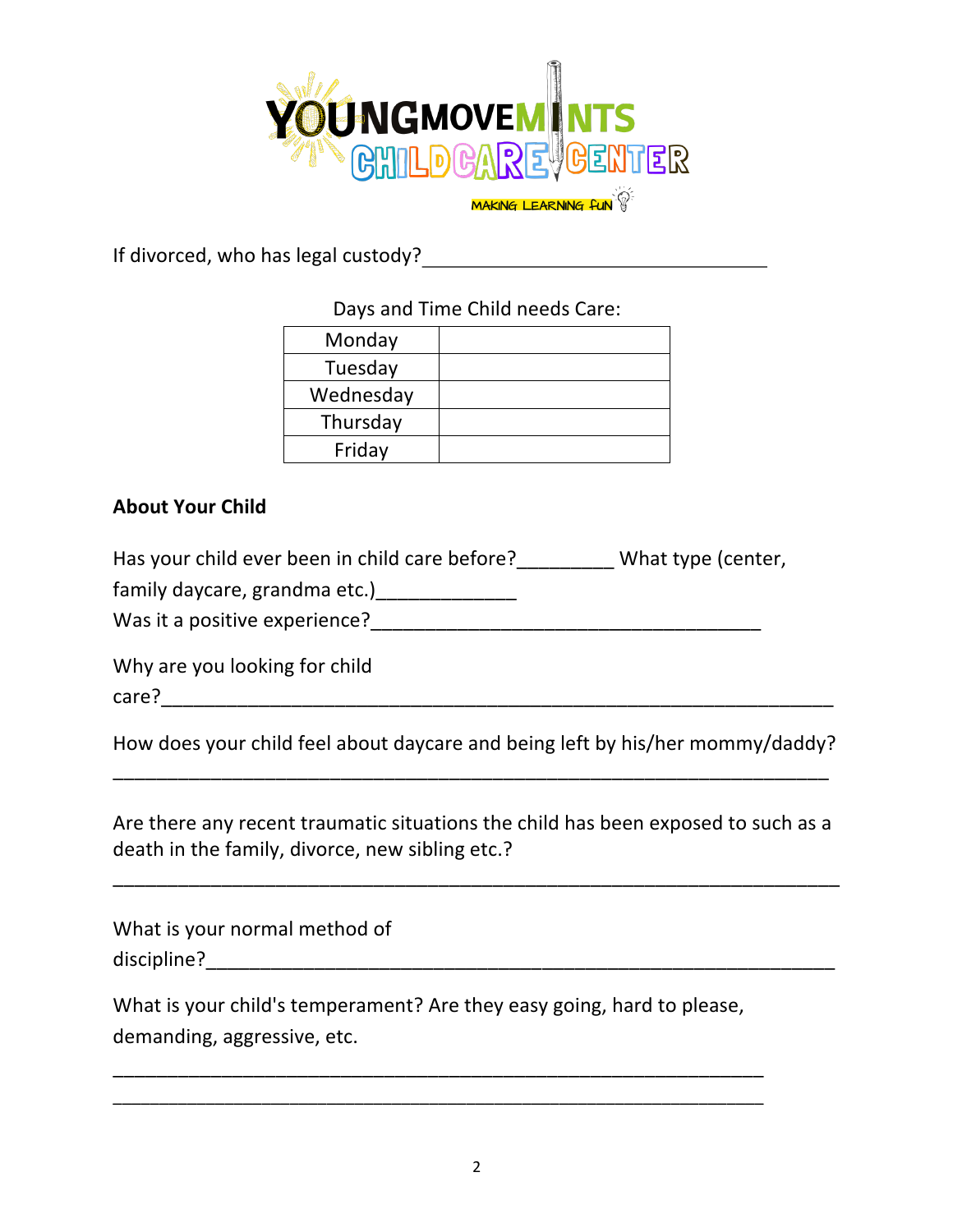

If divorced, who has legal custody?<br>
<u>If</u> divorced, who has legal custody?

Days and Time Child needs Care:

| Monday    |  |
|-----------|--|
| Tuesday   |  |
| Wednesday |  |
| Thursday  |  |
| Friday    |  |

## **About Your Child**

Has your child ever been in child care before? What type (center,

family daycare, grandma etc.)\_\_\_\_\_\_\_\_\_\_\_\_\_\_\_

Was it a positive experience?

Why are you looking for child

care?\_\_\_\_\_\_\_\_\_\_\_\_\_\_\_\_\_\_\_\_\_\_\_\_\_\_\_\_\_\_\_\_\_\_\_\_\_\_\_\_\_\_\_\_\_\_\_\_\_\_\_\_\_\_\_\_\_\_\_\_\_\_

How does your child feel about daycare and being left by his/her mommy/daddy? \_\_\_\_\_\_\_\_\_\_\_\_\_\_\_\_\_\_\_\_\_\_\_\_\_\_\_\_\_\_\_\_\_\_\_\_\_\_\_\_\_\_\_\_\_\_\_\_\_\_\_\_\_\_\_\_\_\_\_\_\_\_\_\_\_\_

Are there any recent traumatic situations the child has been exposed to such as a death in the family, divorce, new sibling etc.?

\_\_\_\_\_\_\_\_\_\_\_\_\_\_\_\_\_\_\_\_\_\_\_\_\_\_\_\_\_\_\_\_\_\_\_\_\_\_\_\_\_\_\_\_\_\_\_\_\_\_\_\_\_\_\_\_\_\_\_\_\_\_\_\_\_\_\_

What is your normal method of  $discipline? \begin{tabular}{@{}c@{}} \hline \[ \, & \multicolumn{3}{c}{} \[ \, & \multicolumn{3}{c}{} \[ \, & \multicolumn{3}{c}{} \[ \, & \multicolumn{3}{c}{} \[ \, & \multicolumn{3}{c}{} \[ \, & \multicolumn{3}{c}{} \[ \, & \multicolumn{3}{c}{} \[ \, & \multicolumn{3}{c}{} \[ \, & \multicolumn{3}{c}{} \[ \, & \multicolumn{3}{c}{} \[ \, & \multicolumn{3}{c}{} \[ \, & \multicolumn{3}{c}{} \[ \, & \mult$ 

What is your child's temperament? Are they easy going, hard to please, demanding, aggressive, etc.

\_\_\_\_\_\_\_\_\_\_\_\_\_\_\_\_\_\_\_\_\_\_\_\_\_\_\_\_\_\_\_\_\_\_\_\_\_\_\_\_\_\_\_\_\_\_\_\_\_\_\_\_\_\_\_\_\_\_\_\_ \_\_\_\_\_\_\_\_\_\_\_\_\_\_\_\_\_\_\_\_\_\_\_\_\_\_\_\_\_\_\_\_\_\_\_\_\_\_\_\_\_\_\_\_\_\_\_\_\_\_\_\_\_\_\_\_\_\_\_\_\_\_\_\_\_\_\_\_\_\_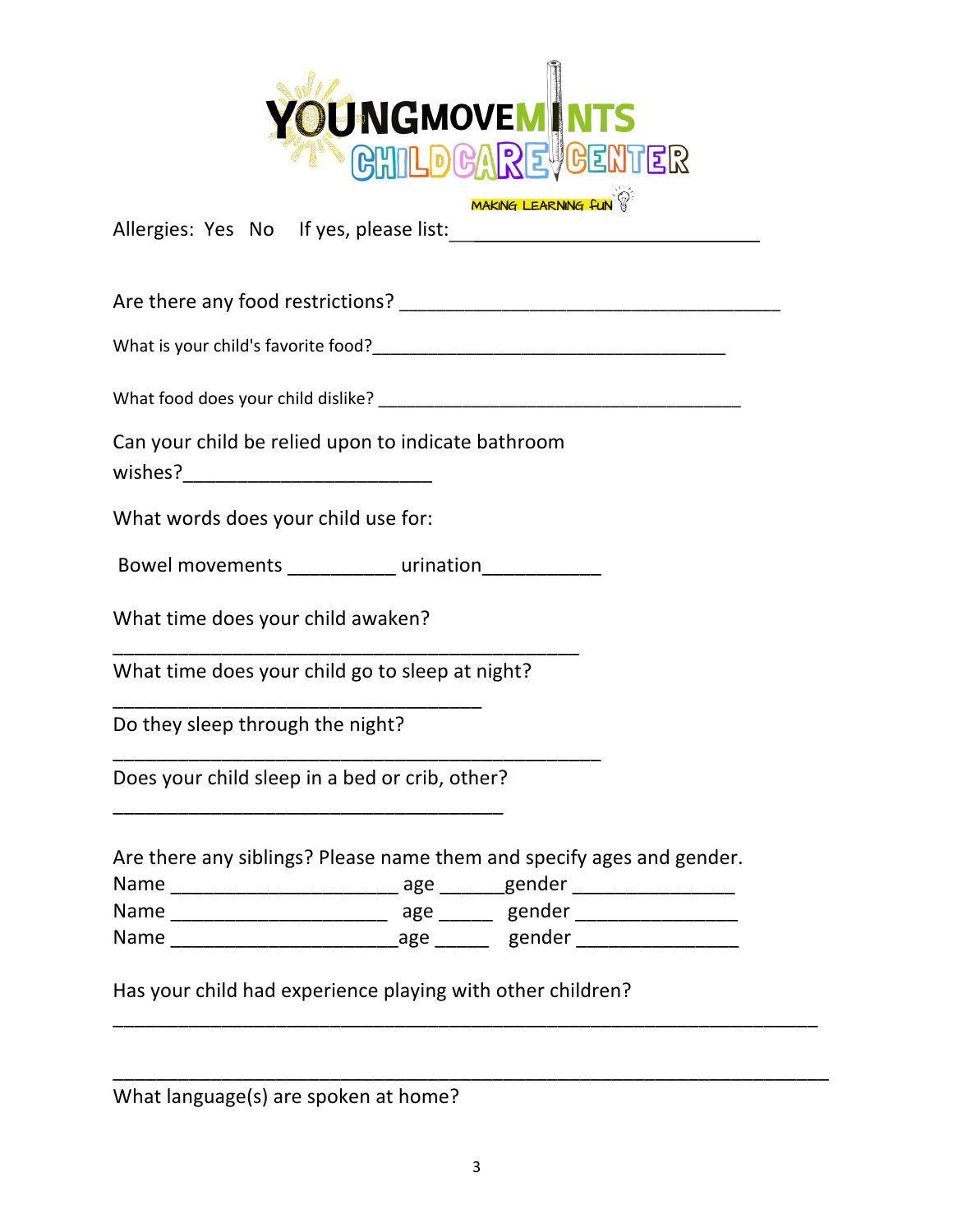

**MAKING LEARNING FUN** 

Allergies: Yes No If yes, please list:

Are there any food restrictions? \_\_\_\_\_\_\_\_\_\_\_\_\_\_\_\_\_\_\_\_\_\_\_\_\_\_\_\_\_\_\_\_\_\_\_\_\_\_\_\_\_

What is your child's favorite food?\_\_\_\_\_\_\_\_\_\_\_\_\_\_\_\_\_\_\_\_\_\_\_\_\_\_\_\_\_\_\_\_\_\_\_\_\_\_ 

What food does your child dislike? \_\_\_\_\_\_\_\_\_\_\_\_\_\_\_\_\_\_\_\_\_\_\_\_\_\_\_\_\_\_\_\_\_\_\_\_\_\_\_

Can your child be relied upon to indicate bathroom

wishes?

What words does your child use for:

Bowel movements \_\_\_\_\_\_\_\_\_\_\_ urination\_\_\_\_\_\_\_\_\_\_\_\_\_

What time does your child awaken?

What time does your child go to sleep at night?

\_\_\_\_\_\_\_\_\_\_\_\_\_\_\_\_\_\_\_\_\_\_\_\_\_\_\_\_\_\_\_\_\_\_\_\_\_\_\_\_\_\_\_

\_\_\_\_\_\_\_\_\_\_\_\_\_\_\_\_\_\_\_\_\_\_\_\_\_\_\_\_\_\_\_\_\_\_\_\_\_\_\_\_\_\_\_\_\_

Do they sleep through the night?

Does your child sleep in a bed or crib, other? \_\_\_\_\_\_\_\_\_\_\_\_\_\_\_\_\_\_\_\_\_\_\_\_\_\_\_\_\_\_\_\_\_\_\_\_

\_\_\_\_\_\_\_\_\_\_\_\_\_\_\_\_\_\_\_\_\_\_\_\_\_\_\_\_\_\_\_\_\_\_

Are there any siblings? Please name them and specify ages and gender.

| Name | age | gender |
|------|-----|--------|
| Name | age | gender |
| Name | age | gender |

Has your child had experience playing with other children?

\_\_\_\_\_\_\_\_\_\_\_\_\_\_\_\_\_\_\_\_\_\_\_\_\_\_\_\_\_\_\_\_\_\_\_\_\_\_\_\_\_\_\_\_\_\_\_\_\_\_\_\_\_\_\_\_\_\_\_\_\_\_\_\_\_

\_\_\_\_\_\_\_\_\_\_\_\_\_\_\_\_\_\_\_\_\_\_\_\_\_\_\_\_\_\_\_\_\_\_\_\_\_\_\_\_\_\_\_\_\_\_\_\_\_\_\_\_\_\_\_\_\_\_\_\_\_\_\_\_\_\_